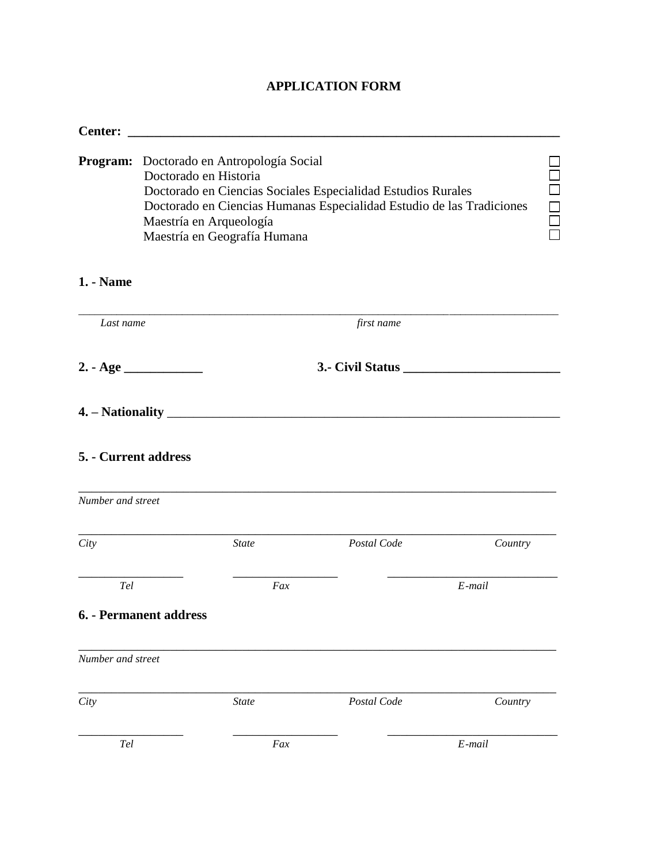## **APPLICATION FORM**

| <b>Center:</b>                   |                                                                                                                               |              |                                                                                                                                       |             |
|----------------------------------|-------------------------------------------------------------------------------------------------------------------------------|--------------|---------------------------------------------------------------------------------------------------------------------------------------|-------------|
|                                  | Program: Doctorado en Antropología Social<br>Doctorado en Historia<br>Maestría en Arqueología<br>Maestría en Geografía Humana |              | Doctorado en Ciencias Sociales Especialidad Estudios Rurales<br>Doctorado en Ciencias Humanas Especialidad Estudio de las Tradiciones | 0 0 0 0<br> |
| <b>1.</b> - Name                 |                                                                                                                               |              |                                                                                                                                       |             |
| Last name                        |                                                                                                                               |              | first name                                                                                                                            |             |
|                                  |                                                                                                                               |              | 3.- Civil Status                                                                                                                      |             |
|                                  |                                                                                                                               |              |                                                                                                                                       |             |
| 5. - Current address             |                                                                                                                               |              |                                                                                                                                       |             |
| Number and street                |                                                                                                                               |              |                                                                                                                                       |             |
| City                             |                                                                                                                               | <b>State</b> | Postal Code                                                                                                                           | Country     |
| Tel                              |                                                                                                                               | Fax          |                                                                                                                                       | E-mail      |
|                                  | 6. - Permanent address                                                                                                        |              |                                                                                                                                       |             |
| Number and street                |                                                                                                                               |              |                                                                                                                                       |             |
| City                             |                                                                                                                               | <b>State</b> | Postal Code                                                                                                                           | Country     |
| $\operatorname{\mathcal{T}\!}el$ |                                                                                                                               | Fax          |                                                                                                                                       | $E$ -mail   |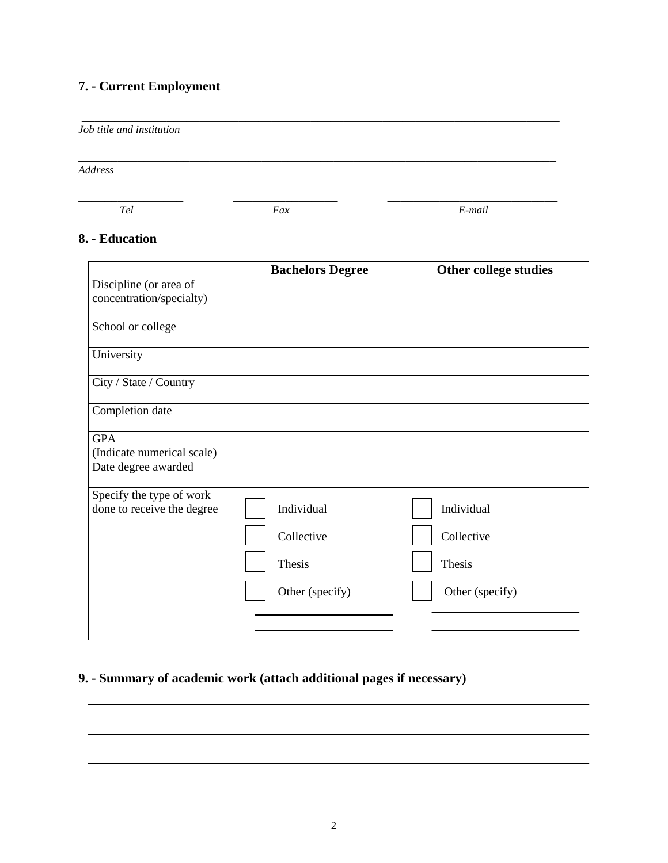# **7. - Current Employment**

*Job title and institution*

*Address*

 $\frac{1}{2}$  ,  $\frac{1}{2}$  ,  $\frac{1}{2}$  ,  $\frac{1}{2}$  ,  $\frac{1}{2}$  ,  $\frac{1}{2}$  ,  $\frac{1}{2}$  ,  $\frac{1}{2}$  ,  $\frac{1}{2}$  ,  $\frac{1}{2}$  ,  $\frac{1}{2}$  ,  $\frac{1}{2}$  ,  $\frac{1}{2}$  ,  $\frac{1}{2}$  ,  $\frac{1}{2}$  ,  $\frac{1}{2}$  ,  $\frac{1}{2}$  ,  $\frac{1}{2}$  ,  $\frac{1$ 

\_\_\_\_\_\_\_\_\_\_\_\_\_\_\_\_\_\_\_\_\_\_\_\_\_\_\_\_\_\_\_\_\_\_\_\_\_\_\_\_\_\_\_\_\_\_\_\_\_\_\_\_\_\_\_\_\_\_\_\_\_\_\_\_\_\_\_\_\_\_\_\_\_

\_\_\_\_\_\_\_\_\_\_\_\_\_\_\_\_\_\_\_\_\_\_\_\_\_\_\_\_\_\_\_\_\_\_\_\_\_\_\_\_\_\_\_\_\_\_\_\_\_\_\_\_\_\_\_\_\_\_\_\_\_\_\_\_\_\_\_\_\_\_\_\_\_

 *Tel Fax E-mail*

### **8. - Education**

|                                                        | <b>Bachelors Degree</b>                               | Other college studies                                 |
|--------------------------------------------------------|-------------------------------------------------------|-------------------------------------------------------|
| Discipline (or area of<br>concentration/specialty)     |                                                       |                                                       |
| School or college                                      |                                                       |                                                       |
| University                                             |                                                       |                                                       |
| City / State / Country                                 |                                                       |                                                       |
| Completion date                                        |                                                       |                                                       |
| <b>GPA</b><br>(Indicate numerical scale)               |                                                       |                                                       |
| Date degree awarded                                    |                                                       |                                                       |
| Specify the type of work<br>done to receive the degree | Individual<br>Collective<br>Thesis<br>Other (specify) | Individual<br>Collective<br>Thesis<br>Other (specify) |

### **9. - Summary of academic work (attach additional pages if necessary)**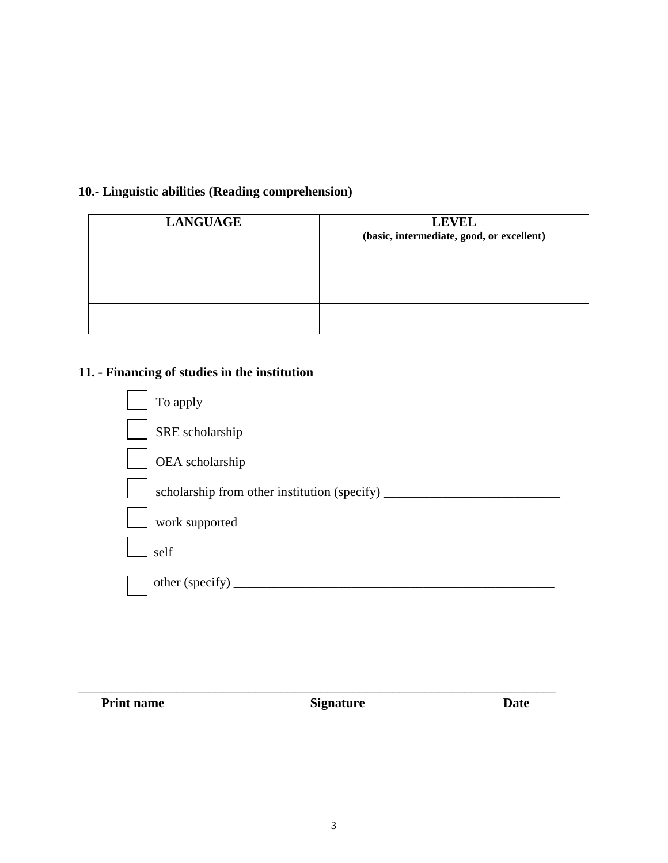### **10.- Linguistic abilities (Reading comprehension)**

| <b>LANGUAGE</b> | <b>LEVEL</b><br>(basic, intermediate, good, or excellent) |
|-----------------|-----------------------------------------------------------|
|                 |                                                           |
|                 |                                                           |
|                 |                                                           |

#### **11. - Financing of studies in the institution**



**Print name Signature Date** 

\_\_\_\_\_\_\_\_\_\_\_\_\_\_\_\_\_\_\_\_\_\_\_\_\_\_\_\_\_\_\_\_\_\_\_\_\_\_\_\_\_\_\_\_\_\_\_\_\_\_\_\_\_\_\_\_\_\_\_\_\_\_\_\_\_\_\_\_\_\_\_\_\_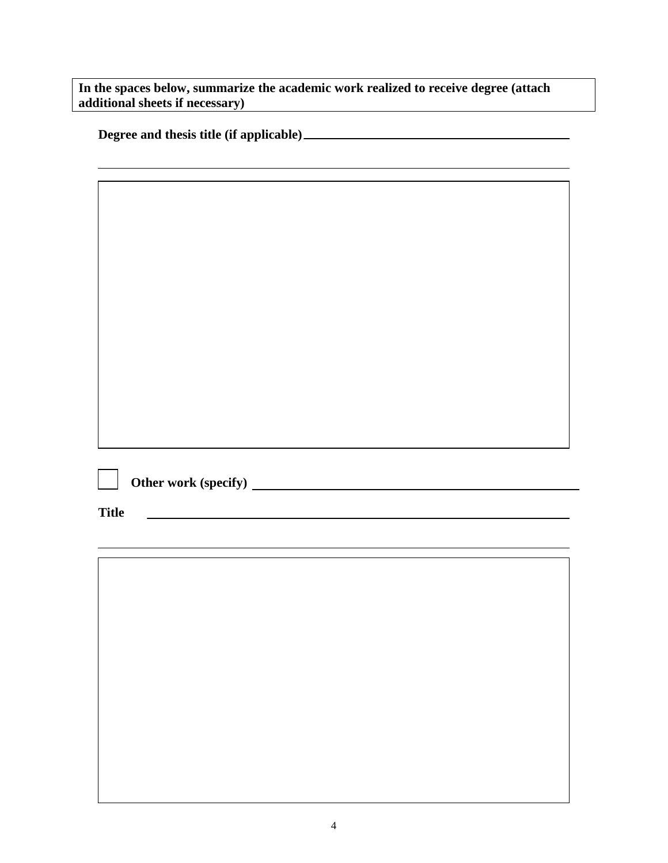**In the spaces below, summarize the academic work realized to receive degree (attach additional sheets if necessary)**

|  |  | Degree and thesis title (if applicable)_ |
|--|--|------------------------------------------|
|  |  |                                          |

**Other work (specify)** 

**Title**